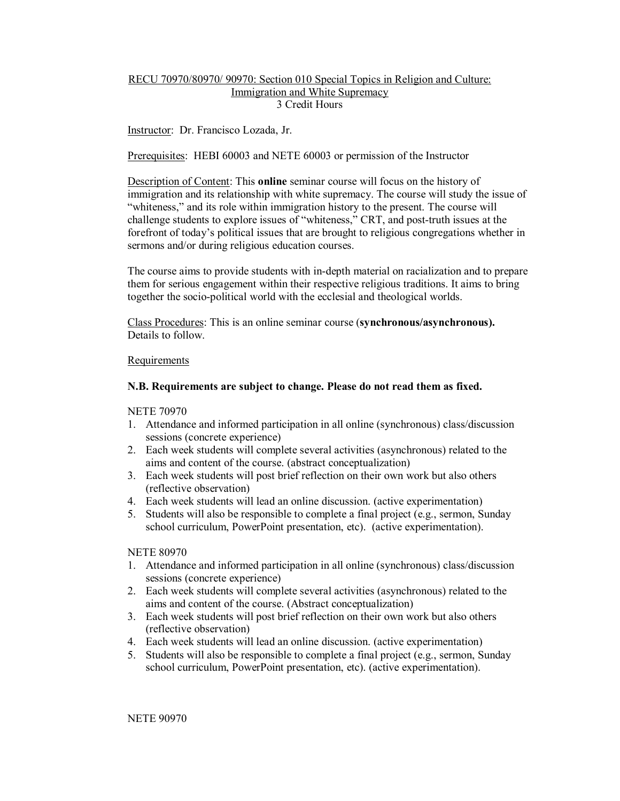# RECU 70970/80970/ 90970: Section 010 Special Topics in Religion and Culture: Immigration and White Supremacy 3 Credit Hours

Instructor: Dr. Francisco Lozada, Jr.

Prerequisites: HEBI 60003 and NETE 60003 or permission of the Instructor

Description of Content: This **online** seminar course will focus on the history of immigration and its relationship with white supremacy. The course will study the issue of "whiteness," and its role within immigration history to the present. The course will challenge students to explore issues of "whiteness," CRT, and post-truth issues at the forefront of today's political issues that are brought to religious congregations whether in sermons and/or during religious education courses.

The course aims to provide students with in-depth material on racialization and to prepare them for serious engagement within their respective religious traditions. It aims to bring together the socio-political world with the ecclesial and theological worlds.

Class Procedures: This is an online seminar course (**synchronous/asynchronous).**  Details to follow.

### Requirements

### **N.B. Requirements are subject to change. Please do not read them as fixed.**

NETE 70970

- 1. Attendance and informed participation in all online (synchronous) class/discussion sessions (concrete experience)
- 2. Each week students will complete several activities (asynchronous) related to the aims and content of the course. (abstract conceptualization)
- 3. Each week students will post brief reflection on their own work but also others (reflective observation)
- 4. Each week students will lead an online discussion. (active experimentation)
- 5. Students will also be responsible to complete a final project (e.g., sermon, Sunday school curriculum, PowerPoint presentation, etc). (active experimentation).

### NETE 80970

- 1. Attendance and informed participation in all online (synchronous) class/discussion sessions (concrete experience)
- 2. Each week students will complete several activities (asynchronous) related to the aims and content of the course. (Abstract conceptualization)
- 3. Each week students will post brief reflection on their own work but also others (reflective observation)
- 4. Each week students will lead an online discussion. (active experimentation)
- 5. Students will also be responsible to complete a final project (e.g., sermon, Sunday school curriculum, PowerPoint presentation, etc). (active experimentation).

NETE 90970